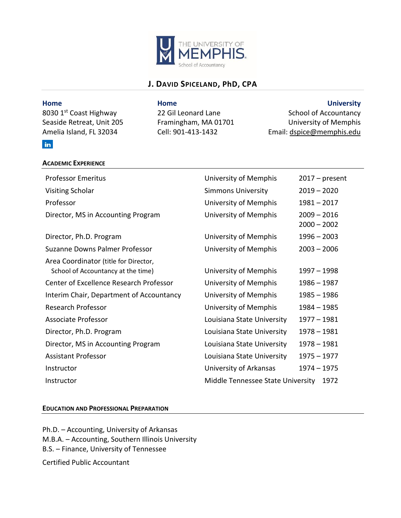

# **J. DAVID SPICELAND, PhD, CPA**

**ACADEMIC EXPERIENCE**

## **Home Home University**

8030 1<sup>st</sup> Coast Highway 22 Gil Leonard Lane School of Accountancy Seaside Retreat, Unit 205 Framingham, MA 01701 University of Memphis Amelia Island, FL 32034 Cell: 901-413-1432 Email: [dspice@memphis.edu](mailto:dspice@memphis.edu)

| <b>Professor Emeritus</b>                                                   | University of Memphis             | $2017 - present$               |
|-----------------------------------------------------------------------------|-----------------------------------|--------------------------------|
| Visiting Scholar                                                            | <b>Simmons University</b>         | $2019 - 2020$                  |
| Professor                                                                   | University of Memphis             | $1981 - 2017$                  |
| Director, MS in Accounting Program                                          | University of Memphis             | $2009 - 2016$<br>$2000 - 2002$ |
| Director, Ph.D. Program                                                     | University of Memphis             | $1996 - 2003$                  |
| Suzanne Downs Palmer Professor                                              | University of Memphis             | $2003 - 2006$                  |
| Area Coordinator (title for Director,<br>School of Accountancy at the time) | University of Memphis             | $1997 - 1998$                  |
| <b>Center of Excellence Research Professor</b>                              | University of Memphis             | 1986 - 1987                    |
| Interim Chair, Department of Accountancy                                    | University of Memphis             | $1985 - 1986$                  |
| <b>Research Professor</b>                                                   | University of Memphis             | $1984 - 1985$                  |
| Associate Professor                                                         | Louisiana State University        | $1977 - 1981$                  |
| Director, Ph.D. Program                                                     | Louisiana State University        | $1978 - 1981$                  |
| Director, MS in Accounting Program                                          | Louisiana State University        | $1978 - 1981$                  |
| <b>Assistant Professor</b>                                                  | Louisiana State University        | $1975 - 1977$                  |
| Instructor                                                                  | University of Arkansas            | 1974 - 1975                    |
| Instructor                                                                  | Middle Tennessee State University | 1972                           |

### **EDUCATION AND PROFESSIONAL PREPARATION**

Ph.D. – Accounting, University of Arkansas M.B.A. – Accounting, Southern Illinois University B.S. – Finance, University of Tennessee Certified Public Accountant

## in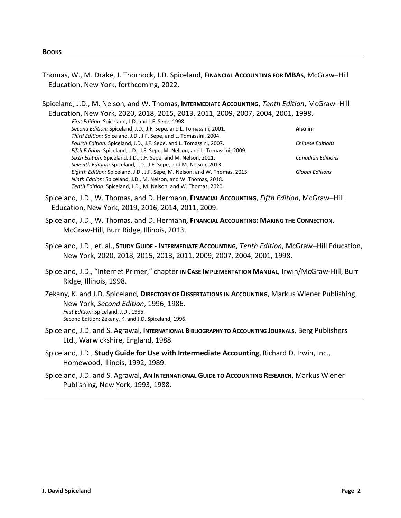- Thomas, W., M. Drake, J. Thornock, J.D. Spiceland, **FINANCIAL ACCOUNTING FOR MBAS**, McGraw–Hill Education, New York, forthcoming, 2022.
- Spiceland, J.D., M. Nelson*,* and W. Thomas, **INTERMEDIATE ACCOUNTING**, *Tenth Edition*, McGraw–Hill Education, New York, 2020, 2018, 2015, 2013, 2011, 2009, 2007, 2004, 2001, 1998.

*First Edition:* Spiceland, J.D. and J.F. Sepe, 1998. *Second Edition:* Spiceland, J.D., J.F. Sepe, and L. Tomassini, 2001. *Third Edition:* Spiceland, J.D., J.F. Sepe, and L. Tomassini, 2004. *Fourth Edition:* Spiceland, J.D., J.F. Sepe, and L. Tomassini, 2007. *Fifth Edition:* Spiceland, J.D., J.F. Sepe, M. Nelson, and L. Tomassini, 2009. *Sixth Edition:* Spiceland, J.D., J.F. Sepe, and M. Nelson, 2011. *Seventh Edition:* Spiceland, J.D., J.F. Sepe, and M. Nelson, 2013. *Eighth Edition:* Spiceland, J.D., J.F. Sepe, M. Nelson, and W. Thomas, 2015. *Ninth Edition:* Spiceland, J.D., M. Nelson, and W. Thomas, 2018. *Tenth Edition:* Spiceland, J.D., M. Nelson, and W. Thomas, 2020. **Also in***: Chinese Editions Canadian Editions Global Editions*

- Spiceland, J.D., W. Thomas, and D. Hermann*,* **FINANCIAL ACCOUNTING**, *Fifth Edition*, McGraw–Hill Education, New York, 2019, 2016, 2014, 2011, 2009.
- Spiceland, J.D., W. Thomas, and D. Hermann*,* **FINANCIAL ACCOUNTING: MAKING THE CONNECTION**, McGraw-Hill, Burr Ridge, Illinois, 2013.
- Spiceland, J.D., et. al., **STUDY GUIDE - INTERMEDIATE ACCOUNTING**, *Tenth Edition*, McGraw–Hill Education, New York, 2020, 2018, 2015, 2013, 2011, 2009, 2007, 2004, 2001, 1998.
- Spiceland, J.D.*,* "Internet Primer," chapter **IN CASE IMPLEMENTATION MANUAL***,* Irwin/McGraw-Hill, Burr Ridge, Illinois, 1998.
- Zekany, K. and J.D. Spiceland*,* **DIRECTORY OF DISSERTATIONS IN ACCOUNTING**, Markus Wiener Publishing, New York, *Second Edition*, 1996, 1986. *First Edition:* Spiceland, J.D., 1986. Second Edition: Zekany, K. and J.D. Spiceland, 1996.
- Spiceland, J.D. and S. Agrawal*,* **INTERNATIONAL BIBLIOGRAPHY TO ACCOUNTING JOURNALS**, Berg Publishers Ltd., Warwickshire, England, 1988.
- Spiceland, J.D., **Study Guide for Use with Intermediate Accounting**, Richard D. Irwin, Inc., Homewood, Illinois, 1992, 1989.
- Spiceland, J.D. and S. Agrawal**, AN INTERNATIONAL GUIDE TO ACCOUNTING RESEARCH**, Markus Wiener Publishing, New York, 1993, 1988.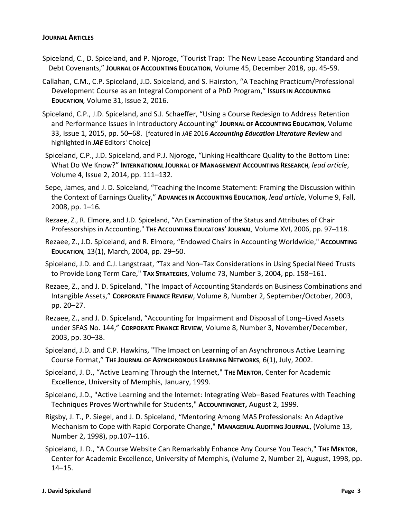- Spiceland, C., D. Spiceland, and P. Njoroge, "Tourist Trap: The New Lease Accounting Standard and Debt Covenants," **JOURNAL OF ACCOUNTING EDUCATION**, Volume 45, December 2018, pp. 45-59.
- Callahan, C.M., C.P. Spiceland, J.D. Spiceland, and S. Hairston, "A Teaching Practicum/Professional **Development Course as an Integral Component of a PhD Program," ISSUES IN ACCOUNTING EDUCATION***,* Volume 31, Issue 2, 2016.
- Spiceland, C.P., J.D. Spiceland, and S.J. Schaeffer, "Using a Course Redesign to Address Retention and Performance Issues in Introductory Accounting" **JOURNAL OF ACCOUNTING EDUCATION***,* Volume 33, Issue 1, 2015, pp. 50–68. [featured in *JAE* 2016 *Accounting Education Literature Review* and highlighted in *JAE* Editors' Choice]
- Spiceland, C.P., J.D. Spiceland, and P.J. Njoroge, "Linking Healthcare Quality to the Bottom Line: What Do We Know?" **INTERNATIONAL JOURNAL OF MANAGEMENT ACCOUNTING RESEARCH***, lead article*, Volume 4, Issue 2, 2014, pp. 111–132.
- Sepe, James, and J. D. Spiceland, "Teaching the Income Statement: Framing the Discussion within the Context of Earnings Quality," **ADVANCES IN ACCOUNTING EDUCATION***, lead article*, Volume 9, Fall, 2008, pp. 1–16*.*
- Rezaee, Z., R. Elmore, and J.D. Spiceland, "An Examination of the Status and Attributes of Chair Professorships in Accounting," **THE ACCOUNTING EDUCATORS' JOURNAL***,* Volume XVI, 2006, pp. 97–118.
- Rezaee, Z., J.D. Spiceland, and R. Elmore, "Endowed Chairs in Accounting Worldwide," **ACCOUNTING EDUCATION***,* 13(1), March, 2004, pp. 29–50.
- Spiceland, J.D. and C.J. Langstraat, "Tax and Non–Tax Considerations in Using Special Need Trusts to Provide Long Term Care," **TAX STRATEGIES**, Volume 73, Number 3, 2004, pp. 158–161.
- Rezaee, Z., and J. D. Spiceland, "The Impact of Accounting Standards on Business Combinations and Intangible Assets," **CORPORATE FINANCE REVIEW**, Volume 8, Number 2, September/October, 2003, pp. 20–27.
- Rezaee, Z., and J. D. Spiceland, "Accounting for Impairment and Disposal of Long–Lived Assets under SFAS No. 144," **CORPORATE FINANCE REVIEW**, Volume 8, Number 3, November/December, 2003, pp. 30–38.
- Spiceland, J.D. and C.P. Hawkins, "The Impact on Learning of an Asynchronous Active Learning Course Format," **THE JOURNAL OF ASYNCHRONOUS LEARNING NETWORKS**, 6(1), July, 2002.
- Spiceland, J. D., "Active Learning Through the Internet," **THE MENTOR**, Center for Academic Excellence, University of Memphis, January, 1999.
- Spiceland, J.D.*,* "Active Learning and the Internet: Integrating Web–Based Features with Teaching Techniques Proves Worthwhile for Students," **ACCOUNTINGNET,** August 2, 1999.
- Rigsby, J. T., P. Siegel, and J. D. Spiceland, "Mentoring Among MAS Professionals: An Adaptive Mechanism to Cope with Rapid Corporate Change," **MANAGERIAL AUDITING JOURNAL**, (Volume 13, Number 2, 1998), pp.107–116.
- Spiceland, J. D., "A Course Website Can Remarkably Enhance Any Course You Teach," **THE MENTOR**, Center for Academic Excellence, University of Memphis, (Volume 2, Number 2), August, 1998, pp. 14–15.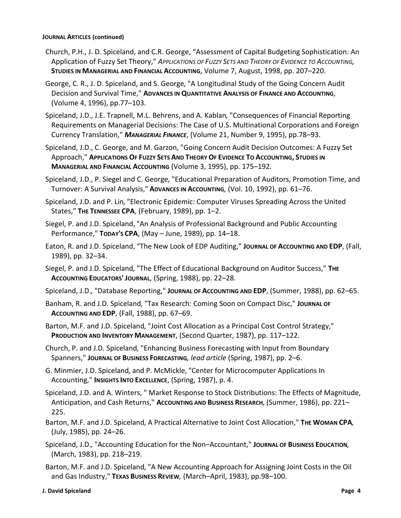#### **JOURNAL ARTICLES (continued)**

- Church, P.H., J. D. Spiceland, and C.R. George, "Assessment of Capital Budgeting Sophistication: An Application of Fuzzy Set Theory," *APPLICATIONS OF FUZZY SETS AND THEORY OF EVIDENCE TO ACCOUNTING,* **STUDIES IN MANAGERIAL AND FINANCIAL ACCOUNTING**, Volume 7, August, 1998, pp. 207–220.
- George, C. R., J. D. Spiceland, and S. George*,* "A Longitudinal Study of the Going Concern Audit Decision and Survival Time," **ADVANCES IN QUANTITATIVE ANALYSIS OF FINANCE AND ACCOUNTING**, (Volume 4, 1996), pp.77–103.
- Spiceland, J.D., J.E. Trapnell, M.L. Behrens, and A. Kablan*,* "Consequences of Financial Reporting Requirements on Managerial Decisions: The Case of U.S. Multinational Corporations and Foreign Currency Translation," *MANAGERIAL FINANCE*, (Volume 21, Number 9, 1995), pp.78–93.
- Spiceland, J.D., C. George, and M. Garzon*,* "Going Concern Audit Decision Outcomes: A Fuzzy Set Approach," APPLICATIONS OF FUZZY SETS AND THEORY OF EVIDENCE TO ACCOUNTING, STUDIES IN **MANAGERIAL AND FINANCIAL ACCOUNTING** (Volume 3, 1995), pp. 175–192*.*
- Spiceland, J.D., P. Siegel and C. George*,* "Educational Preparation of Auditors, Promotion Time, and Turnover: A Survival Analysis," **ADVANCES IN ACCOUNTING***,* (Vol. 10, 1992), pp. 61–76.
- Spiceland, J.D. and P. Lin*,* "Electronic Epidemic: Computer Viruses Spreading Across the United States," **THE TENNESSEE CPA**, (February, 1989), pp. 1–2.
- Siegel, P. and J.D. Spiceland, "An Analysis of Professional Background and Public Accounting Performance," **TODAY'S CPA**, (May – June, 1989), pp. 14–18.
- Eaton, R. and J.D. Spiceland, "The New Look of EDP Auditing," **JOURNAL OF ACCOUNTING AND EDP**, (Fall, 1989), pp. 32–34.
- Siegel, P. and J.D. Spiceland*,* "The Effect of Educational Background on Auditor Success," **THE ACCOUNTING EDUCATORS' JOURNAL**, (Spring, 1988), pp. 22–28.
- Spiceland, J.D.*,* "Database Reporting," **JOURNAL OF ACCOUNTING AND EDP**, (Summer, 1988), pp. 62–65.
- Banham, R. and J.D. Spiceland*,* "Tax Research: Coming Soon on Compact Disc," **JOURNAL OF ACCOUNTING AND EDP**, (Fall, 1988), pp. 67–69.
- Barton, M.F. and J.D. Spiceland*,* "Joint Cost Allocation as a Principal Cost Control Strategy," **PRODUCTION AND INVENTORY MANAGEMENT**, (Second Quarter, 1987), pp. 117–122.
- Church, P. and J.D. Spiceland*,* "Enhancing Business Forecasting with Input from Boundary Spanners," **JOURNAL OF BUSINESS FORECASTING***, lead article* (Spring, 1987), pp. 2–6.
- G. Minmier, J.D. Spiceland*,* and P. McMickle, "Center for Microcomputer Applications In Accounting," **INSIGHTS INTO EXCELLENCE**, (Spring, 1987), p. 4.
- Spiceland, J.D. and A. Winters, " Market Response to Stock Distributions: The Effects of Magnitude, Anticipation, and Cash Returns," **ACCOUNTING AND BUSINESS RESEARCH***,* (Summer, 1986), pp. 221– 225.
- Barton, M.F. and J.D. Spiceland*,* A Practical Alternative to Joint Cost Allocation," **THE WOMAN CPA***,* (July, 1985), pp. 24–26.
- Spiceland, J.D.*,* "Accounting Education for the Non–Accountant," **JOURNAL OF BUSINESS EDUCATION***,* (March, 1983), pp. 218–219.
- Barton, M.F. and J.D. Spiceland*,* "A New Accounting Approach for Assigning Joint Costs in the Oil and Gas Industry," **TEXAS BUSINESS REVIEW***,* (March–April, 1983), pp.98–100.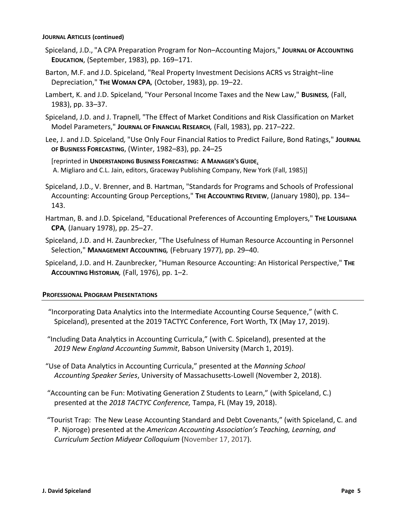#### **JOURNAL ARTICLES (continued)**

- Spiceland, J.D., "A CPA Preparation Program for Non–Accounting Majors," **JOURNAL OF ACCOUNTING EDUCATION**, (September, 1983), pp. 169–171.
- Barton, M.F. and J.D. Spiceland*,* "Real Property Investment Decisions ACRS vs Straight–line Depreciation," **THE WOMAN CPA***,* (October, 1983), pp. 19–22.
- Lambert, K. and J.D. Spiceland*,* "Your Personal Income Taxes and the New Law," **BUSINESS***,* (Fall, 1983), pp. 33–37.
- Spiceland, J.D. and J. Trapnell*,* "The Effect of Market Conditions and Risk Classification on Market Model Parameters," **JOURNAL OF FINANCIAL RESEARCH***,* (Fall, 1983), pp. 217–222.
- Lee, J. and J.D. Spiceland*,* "Use Only Four Financial Ratios to Predict Failure, Bond Ratings," **JOURNAL OF BUSINESS FORECASTING**, (Winter, 1982–83), pp. 24–25

[reprinted in **UNDERSTANDING BUSINESS FORECASTING: A MANAGER'S GUIDE**, A. Migliaro and C.L. Jain, editors, Graceway Publishing Company, New York (Fall, 1985)]

- Spiceland, J.D., V. Brenner, and B. Hartman*,* "Standards for Programs and Schools of Professional Accounting: Accounting Group Perceptions," **THE ACCOUNTING REVIEW**, (January 1980), pp. 134– 143.
- Hartman, B. and J.D. Spiceland*,* "Educational Preferences of Accounting Employers," **THE LOUISIANA CPA***,* (January 1978), pp. 25–27.
- Spiceland, J.D. and H. Zaunbrecker*,* "The Usefulness of Human Resource Accounting in Personnel Selection," **MANAGEMENT ACCOUNTING***,* (February 1977), pp. 29–40.
- Spiceland, J.D. and H. Zaunbrecker*,* "Human Resource Accounting: An Historical Perspective," **THE ACCOUNTING HISTORIAN***,* (Fall, 1976), pp. 1–2.

### **PROFESSIONAL PROGRAM PRESENTATIONS**

- "Incorporating Data Analytics into the Intermediate Accounting Course Sequence," (with C. Spiceland), presented at the 2019 TACTYC Conference, Fort Worth, TX (May 17, 2019).
- "Including Data Analytics in Accounting Curricula," (with C. Spiceland), presented at the *2019 New England Accounting Summit*, Babson University (March 1, 2019).
- "Use of Data Analytics in Accounting Curricula," presented at the *Manning School Accounting Speaker Series*, University of Massachusetts-Lowell (November 2, 2018).
- "Accounting can be Fun: Motivating Generation Z Students to Learn," (with Spiceland, C.) presented at the *2018 TACTYC Conference,* Tampa, FL (May 19, 2018).
- "Tourist Trap: The New Lease Accounting Standard and Debt Covenants," (with Spiceland, C. and P. Njoroge) presented at the *American Accounting Association's Teaching, Learning, and Curriculum Section Midyear Colloquium* (November 17, 2017).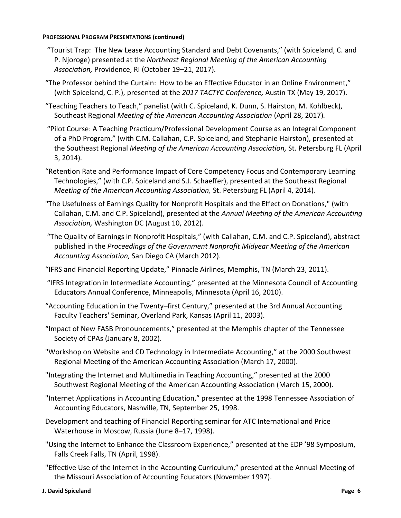- "Tourist Trap: The New Lease Accounting Standard and Debt Covenants," (with Spiceland, C. and P. Njoroge) presented at the *Northeast Regional Meeting of the American Accounting Association,* Providence, RI (October 19–21, 2017).
- "The Professor behind the Curtain: How to be an Effective Educator in an Online Environment," (with Spiceland, C. P.), presented at the *2017 TACTYC Conference,* Austin TX (May 19, 2017).
- "Teaching Teachers to Teach," panelist (with C. Spiceland, K. Dunn, S. Hairston, M. Kohlbeck), Southeast Regional *Meeting of the American Accounting Association* (April 28, 2017)*.*
- "Pilot Course: A Teaching Practicum/Professional Development Course as an Integral Component of a PhD Program," (with C.M. Callahan, C.P. Spiceland, and Stephanie Hairston), presented at the Southeast Regional *Meeting of the American Accounting Association,* St. Petersburg FL (April 3, 2014)*.*
- "Retention Rate and Performance Impact of Core Competency Focus and Contemporary Learning Technologies," (with C.P. Spiceland and S.J. Schaeffer), presented at the Southeast Regional *Meeting of the American Accounting Association,* St. Petersburg FL (April 4, 2014)*.*
- "The Usefulness of Earnings Quality for Nonprofit Hospitals and the Effect on Donations," (with Callahan, C.M. and C.P. Spiceland), presented at the *Annual Meeting of the American Accounting Association,* Washington DC (August 10, 2012).
- "The Quality of Earnings in Nonprofit Hospitals," (with Callahan, C.M. and C.P. Spiceland), abstract published in the *Proceedings of the Government Nonprofit Midyear Meeting of the American Accounting Association,* San Diego CA (March 2012).
- "IFRS and Financial Reporting Update," Pinnacle Airlines, Memphis, TN (March 23, 2011).
- "IFRS Integration in Intermediate Accounting," presented at the Minnesota Council of Accounting Educators Annual Conference, Minneapolis, Minnesota (April 16, 2010).
- "Accounting Education in the Twenty–first Century," presented at the 3rd Annual Accounting Faculty Teachers' Seminar, Overland Park, Kansas (April 11, 2003).
- "Impact of New FASB Pronouncements," presented at the Memphis chapter of the Tennessee Society of CPAs (January 8, 2002).
- "Workshop on Website and CD Technology in Intermediate Accounting," at the 2000 Southwest Regional Meeting of the American Accounting Association (March 17, 2000).
- "Integrating the Internet and Multimedia in Teaching Accounting," presented at the 2000 Southwest Regional Meeting of the American Accounting Association (March 15, 2000).
- "Internet Applications in Accounting Education," presented at the 1998 Tennessee Association of Accounting Educators, Nashville, TN, September 25, 1998.
- Development and teaching of Financial Reporting seminar for ATC International and Price Waterhouse in Moscow, Russia (June 8–17, 1998).
- "Using the Internet to Enhance the Classroom Experience," presented at the EDP '98 Symposium, Falls Creek Falls, TN (April, 1998).
- "Effective Use of the Internet in the Accounting Curriculum," presented at the Annual Meeting of the Missouri Association of Accounting Educators (November 1997).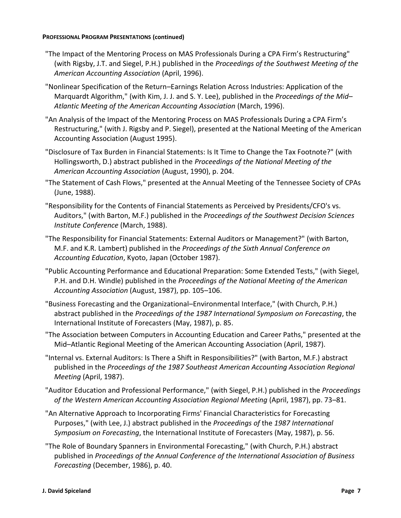- "The Impact of the Mentoring Process on MAS Professionals During a CPA Firm's Restructuring" (with Rigsby, J.T. and Siegel, P.H.) published in the *Proceedings of the Southwest Meeting of the American Accounting Association* (April, 1996).
- "Nonlinear Specification of the Return–Earnings Relation Across Industries: Application of the Marquardt Algorithm," (with Kim, J. J. and S. Y. Lee), published in the *Proceedings of the Mid– Atlantic Meeting of the American Accounting Association* (March, 1996).
- "An Analysis of the Impact of the Mentoring Process on MAS Professionals During a CPA Firm's Restructuring," (with J. Rigsby and P. Siegel), presented at the National Meeting of the American Accounting Association (August 1995).
- "Disclosure of Tax Burden in Financial Statements: Is It Time to Change the Tax Footnote?" (with Hollingsworth, D.) abstract published in the *Proceedings of the National Meeting of the American Accounting Association* (August, 1990), p. 204.
- "The Statement of Cash Flows," presented at the Annual Meeting of the Tennessee Society of CPAs (June, 1988).
- "Responsibility for the Contents of Financial Statements as Perceived by Presidents/CFO's vs. Auditors," (with Barton, M.F.) published in the *Proceedings of the Southwest Decision Sciences Institute Conference* (March, 1988).
- "The Responsibility for Financial Statements: External Auditors or Management?" (with Barton, M.F. and K.R. Lambert) published in the *Proceedings of the Sixth Annual Conference on Accounting Education*, Kyoto, Japan (October 1987).
- "Public Accounting Performance and Educational Preparation: Some Extended Tests," (with Siegel, P.H. and D.H. Windle) published in the *Proceedings of the National Meeting of the American Accounting Association* (August, 1987), pp. 105–106.
- "Business Forecasting and the Organizational–Environmental Interface," (with Church, P.H.) abstract published in the *Proceedings of the 1987 International Symposium on Forecasting*, the International Institute of Forecasters (May, 1987), p. 85.
- "The Association between Computers in Accounting Education and Career Paths," presented at the Mid–Atlantic Regional Meeting of the American Accounting Association (April, 1987).
- "Internal vs. External Auditors: Is There a Shift in Responsibilities?" (with Barton, M.F.) abstract published in the *Proceedings of the 1987 Southeast American Accounting Association Regional Meeting* (April, 1987).
- "Auditor Education and Professional Performance," (with Siegel, P.H.) published in the *Proceedings of the Western American Accounting Association Regional Meeting* (April, 1987), pp. 73–81.
- "An Alternative Approach to Incorporating Firms' Financial Characteristics for Forecasting Purposes," (with Lee, J.) abstract published in the *Proceedings of* the *1987 International Symposium on Forecasting*, the International Institute of Forecasters (May, 1987), p. 56.
- "The Role of Boundary Spanners in Environmental Forecasting," (with Church, P.H.) abstract published in *Proceedings of the Annual Conference of the International Association of Business Forecasting* (December, 1986), p. 40.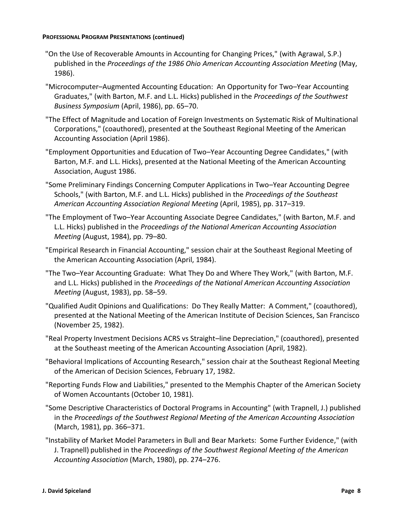- "On the Use of Recoverable Amounts in Accounting for Changing Prices," (with Agrawal, S.P.) published in the *Proceedings of the 1986 Ohio American Accounting Association Meeting* (May, 1986).
- "Microcomputer–Augmented Accounting Education: An Opportunity for Two–Year Accounting Graduates," (with Barton, M.F. and L.L. Hicks) published in the *Proceedings of the Southwest Business Symposium* (April, 1986), pp. 65–70.
- "The Effect of Magnitude and Location of Foreign Investments on Systematic Risk of Multinational Corporations," (coauthored), presented at the Southeast Regional Meeting of the American Accounting Association (April 1986).
- "Employment Opportunities and Education of Two–Year Accounting Degree Candidates," (with Barton, M.F. and L.L. Hicks), presented at the National Meeting of the American Accounting Association, August 1986.
- "Some Preliminary Findings Concerning Computer Applications in Two–Year Accounting Degree Schools," (with Barton, M.F. and L.L. Hicks) published in the *Proceedings of the Southeast American Accounting Association Regional Meeting* (April, 1985), pp. 317–319.
- "The Employment of Two–Year Accounting Associate Degree Candidates," (with Barton, M.F. and L.L. Hicks) published in the *Proceedings of the National American Accounting Association Meeting* (August, 1984), pp. 79–80.
- "Empirical Research in Financial Accounting," session chair at the Southeast Regional Meeting of the American Accounting Association (April, 1984).
- "The Two–Year Accounting Graduate: What They Do and Where They Work," (with Barton, M.F. and L.L. Hicks) published in the *Proceedings of the National American Accounting Association Meeting* (August, 1983), pp. 58–59.
- "Qualified Audit Opinions and Qualifications: Do They Really Matter: A Comment," (coauthored), presented at the National Meeting of the American Institute of Decision Sciences, San Francisco (November 25, 1982).
- "Real Property Investment Decisions ACRS vs Straight–line Depreciation," (coauthored), presented at the Southeast meeting of the American Accounting Association (April, 1982).
- "Behavioral Implications of Accounting Research," session chair at the Southeast Regional Meeting of the American of Decision Sciences, February 17, 1982.
- "Reporting Funds Flow and Liabilities," presented to the Memphis Chapter of the American Society of Women Accountants (October 10, 1981).
- "Some Descriptive Characteristics of Doctoral Programs in Accounting" (with Trapnell, J.) published in the *Proceedings of the Southwest Regional Meeting of the American Accounting Association*  (March, 1981), pp. 366–371.
- "Instability of Market Model Parameters in Bull and Bear Markets: Some Further Evidence," (with J. Trapnell) published in the *Proceedings of the Southwest Regional Meeting of the American Accounting Association* (March, 1980), pp. 274–276.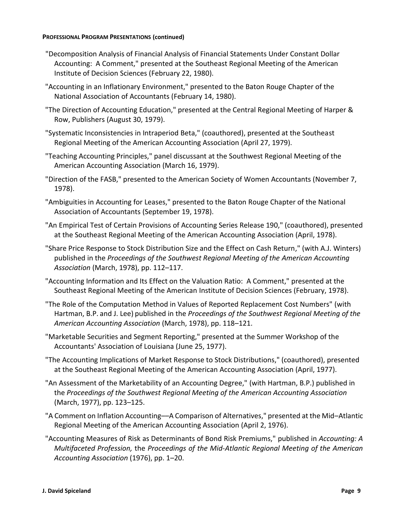- "Decomposition Analysis of Financial Analysis of Financial Statements Under Constant Dollar Accounting: A Comment," presented at the Southeast Regional Meeting of the American Institute of Decision Sciences (February 22, 1980).
- "Accounting in an Inflationary Environment," presented to the Baton Rouge Chapter of the National Association of Accountants (February 14, 1980).
- "The Direction of Accounting Education," presented at the Central Regional Meeting of Harper & Row, Publishers (August 30, 1979).
- "Systematic Inconsistencies in Intraperiod Beta," (coauthored), presented at the Southeast Regional Meeting of the American Accounting Association (April 27, 1979).
- "Teaching Accounting Principles," panel discussant at the Southwest Regional Meeting of the American Accounting Association (March 16, 1979).
- "Direction of the FASB," presented to the American Society of Women Accountants (November 7, 1978).
- "Ambiguities in Accounting for Leases," presented to the Baton Rouge Chapter of the National Association of Accountants (September 19, 1978).
- "An Empirical Test of Certain Provisions of Accounting Series Release 190," (coauthored), presented at the Southeast Regional Meeting of the American Accounting Association (April, 1978).
- "Share Price Response to Stock Distribution Size and the Effect on Cash Return," (with A.J. Winters) published in the *Proceedings of the Southwest Regional Meeting of the American Accounting Association* (March, 1978), pp. 112–117.
- "Accounting Information and Its Effect on the Valuation Ratio: A Comment," presented at the Southeast Regional Meeting of the American Institute of Decision Sciences (February, 1978).
- "The Role of the Computation Method in Values of Reported Replacement Cost Numbers" (with Hartman, B.P. and J. Lee) published in the *Proceedings of the Southwest Regional Meeting of the American Accounting Association* (March, 1978), pp. 118–121.
- "Marketable Securities and Segment Reporting," presented at the Summer Workshop of the Accountants' Association of Louisiana (June 25, 1977).
- "The Accounting Implications of Market Response to Stock Distributions," (coauthored), presented at the Southeast Regional Meeting of the American Accounting Association (April, 1977).
- "An Assessment of the Marketability of an Accounting Degree," (with Hartman, B.P.) published in the *Proceedings of the Southwest Regional Meeting of the American Accounting Association* (March, 1977), pp. 123–125.
- "A Comment on Inflation Accounting––A Comparison of Alternatives," presented at the Mid–Atlantic Regional Meeting of the American Accounting Association (April 2, 1976).
- "Accounting Measures of Risk as Determinants of Bond Risk Premiums," published in *Accounting: A Multifaceted Profession,* the *Proceedings of the Mid-Atlantic Regional Meeting of the American Accounting Association* (1976), pp. 1–20.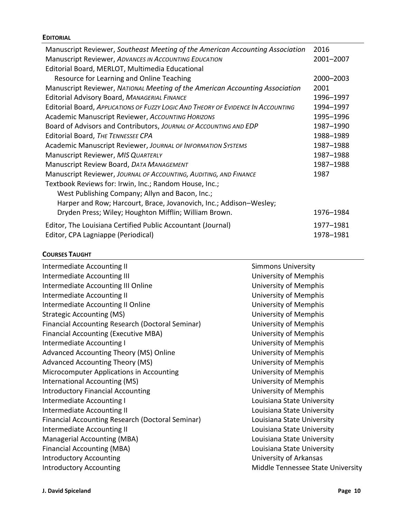## **EDITORIAL**

| Manuscript Reviewer, Southeast Meeting of the American Accounting Association     |           |
|-----------------------------------------------------------------------------------|-----------|
| Manuscript Reviewer, ADVANCES IN ACCOUNTING EDUCATION                             |           |
| Editorial Board, MERLOT, Multimedia Educational                                   |           |
| Resource for Learning and Online Teaching                                         | 2000-2003 |
| Manuscript Reviewer, NATIONAL Meeting of the American Accounting Association      | 2001      |
| Editorial Advisory Board, MANAGERIAL FINANCE                                      | 1996-1997 |
| Editorial Board, APPLICATIONS OF FUZZY LOGIC AND THEORY OF EVIDENCE IN ACCOUNTING | 1994-1997 |
| Academic Manuscript Reviewer, Accounting HORIZONS                                 | 1995-1996 |
| Board of Advisors and Contributors, JOURNAL OF ACCOUNTING AND EDP                 | 1987-1990 |
| Editorial Board, THE TENNESSEE CPA                                                | 1988-1989 |
| <b>Academic Manuscript Reviewer, JOURNAL OF INFORMATION SYSTEMS</b>               |           |
| Manuscript Reviewer, MIS QUARTERLY                                                | 1987-1988 |
| Manuscript Review Board, DATA MANAGEMENT                                          | 1987-1988 |
| Manuscript Reviewer, JOURNAL OF ACCOUNTING, AUDITING, AND FINANCE                 | 1987      |
| Textbook Reviews for: Irwin, Inc.; Random House, Inc.;                            |           |
| West Publishing Company; Allyn and Bacon, Inc.;                                   |           |
| Harper and Row; Harcourt, Brace, Jovanovich, Inc.; Addison-Wesley;                |           |
| Dryden Press; Wiley; Houghton Mifflin; William Brown.                             | 1976-1984 |
| Editor, The Louisiana Certified Public Accountant (Journal)                       | 1977-1981 |
| Editor, CPA Lagniappe (Periodical)                                                |           |

## **COURSES TAUGHT**

| Intermediate Accounting II                              | <b>Simmons University</b>         |
|---------------------------------------------------------|-----------------------------------|
| Intermediate Accounting III                             | University of Memphis             |
| Intermediate Accounting III Online                      | University of Memphis             |
| Intermediate Accounting II                              | University of Memphis             |
| Intermediate Accounting II Online                       | University of Memphis             |
| <b>Strategic Accounting (MS)</b>                        | University of Memphis             |
| <b>Financial Accounting Research (Doctoral Seminar)</b> | University of Memphis             |
| <b>Financial Accounting (Executive MBA)</b>             | University of Memphis             |
| Intermediate Accounting I                               | University of Memphis             |
| Advanced Accounting Theory (MS) Online                  | University of Memphis             |
| <b>Advanced Accounting Theory (MS)</b>                  | University of Memphis             |
| Microcomputer Applications in Accounting                | University of Memphis             |
| International Accounting (MS)                           | University of Memphis             |
| <b>Introductory Financial Accounting</b>                | University of Memphis             |
| Intermediate Accounting I                               | Louisiana State University        |
| Intermediate Accounting II                              | Louisiana State University        |
| <b>Financial Accounting Research (Doctoral Seminar)</b> | Louisiana State University        |
| Intermediate Accounting II                              | Louisiana State University        |
| Managerial Accounting (MBA)                             | Louisiana State University        |
| <b>Financial Accounting (MBA)</b>                       | Louisiana State University        |
| <b>Introductory Accounting</b>                          | University of Arkansas            |
| <b>Introductory Accounting</b>                          | Middle Tennessee State University |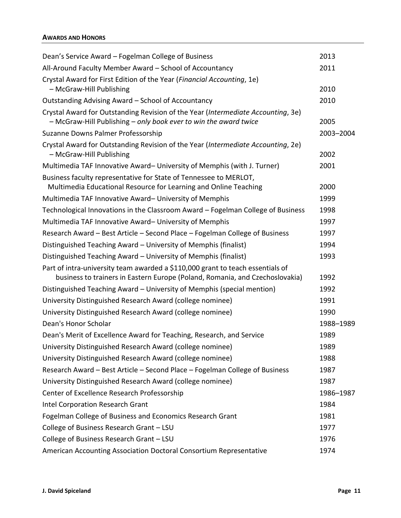## **AWARDS AND HONORS**

| Dean's Service Award - Fogelman College of Business                                                          | 2013      |
|--------------------------------------------------------------------------------------------------------------|-----------|
| All-Around Faculty Member Award - School of Accountancy                                                      | 2011      |
| Crystal Award for First Edition of the Year (Financial Accounting, 1e)<br>- McGraw-Hill Publishing           | 2010      |
| Outstanding Advising Award - School of Accountancy                                                           | 2010      |
| Crystal Award for Outstanding Revision of the Year (Intermediate Accounting, 3e)                             |           |
| - McGraw-Hill Publishing - only book ever to win the award twice                                             | 2005      |
| Suzanne Downs Palmer Professorship                                                                           | 2003-2004 |
| Crystal Award for Outstanding Revision of the Year (Intermediate Accounting, 2e)<br>- McGraw-Hill Publishing | 2002      |
| Multimedia TAF Innovative Award- University of Memphis (with J. Turner)                                      | 2001      |
| Business faculty representative for State of Tennessee to MERLOT,                                            |           |
| Multimedia Educational Resource for Learning and Online Teaching                                             | 2000      |
| Multimedia TAF Innovative Award-University of Memphis                                                        | 1999      |
| Technological Innovations in the Classroom Award - Fogelman College of Business                              | 1998      |
| Multimedia TAF Innovative Award-University of Memphis                                                        | 1997      |
| Research Award - Best Article - Second Place - Fogelman College of Business                                  | 1997      |
| Distinguished Teaching Award - University of Memphis (finalist)                                              | 1994      |
| Distinguished Teaching Award - University of Memphis (finalist)                                              | 1993      |
| Part of intra-university team awarded a \$110,000 grant to teach essentials of                               |           |
| business to trainers in Eastern Europe (Poland, Romania, and Czechoslovakia)                                 | 1992      |
| Distinguished Teaching Award - University of Memphis (special mention)                                       | 1992      |
| University Distinguished Research Award (college nominee)                                                    | 1991      |
| University Distinguished Research Award (college nominee)                                                    | 1990      |
| Dean's Honor Scholar                                                                                         | 1988-1989 |
| Dean's Merit of Excellence Award for Teaching, Research, and Service                                         | 1989      |
| University Distinguished Research Award (college nominee)                                                    | 1989      |
| University Distinguished Research Award (college nominee)                                                    | 1988      |
| Research Award - Best Article - Second Place - Fogelman College of Business                                  | 1987      |
| University Distinguished Research Award (college nominee)                                                    | 1987      |
| Center of Excellence Research Professorship                                                                  | 1986-1987 |
| Intel Corporation Research Grant                                                                             | 1984      |
| Fogelman College of Business and Economics Research Grant                                                    | 1981      |
| College of Business Research Grant - LSU                                                                     | 1977      |
| College of Business Research Grant - LSU                                                                     | 1976      |
| American Accounting Association Doctoral Consortium Representative                                           | 1974      |